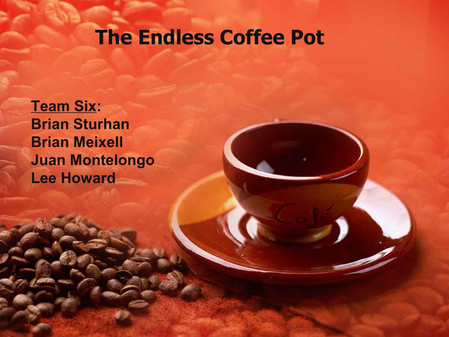## **The Endless Coffee Pot**

**Team Six: Brian Sturhan Brian Meixell Juan Montelongo Lee Howard**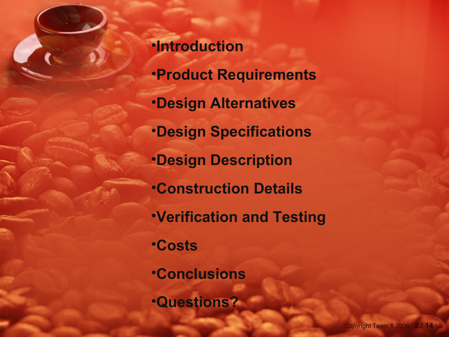•**Introduction** •**Product Requirements** •**Design Alternatives** •**Design Specifications** •**Design Description** •**Construction Details** •**Verification and Testing** •**Costs** •**Conclusions** •**Questions?**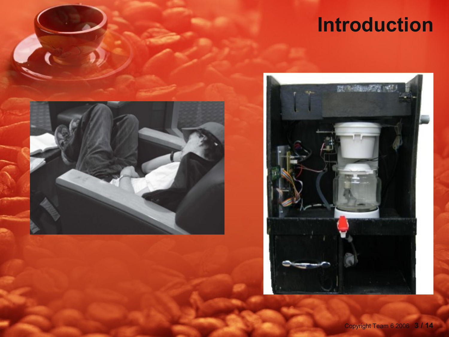# **Introduction**



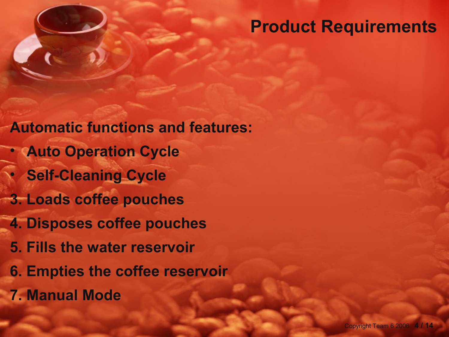#### **Product Requirements**

**Automatic functions and features:** • **Auto Operation Cycle**  • **Self-Cleaning Cycle 3. Loads coffee pouches 4. Disposes coffee pouches 5. Fills the water reservoir 6. Empties the coffee reservoir 7. Manual Mode**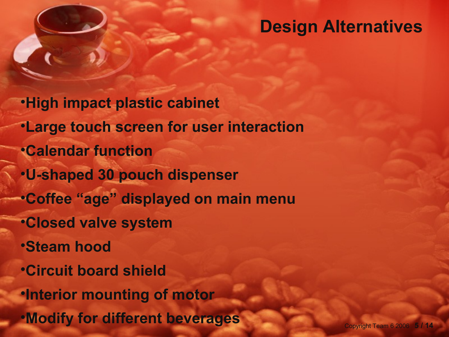#### **Design Alternatives**

•**High impact plastic cabinet** •**Large touch screen for user interaction** •**Calendar function** •**U-shaped 30 pouch dispenser** •**Coffee "age" displayed on main menu** •**Closed valve system** •**Steam hood** •**Circuit board shield** •**Interior mounting of motor** •**Modify for different beverages**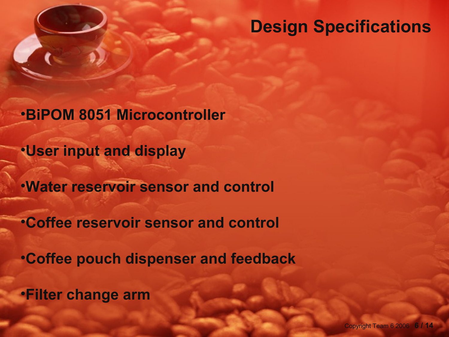#### **Design Specifications**

•**BiPOM 8051 Microcontroller**

•**User input and display**

•**Water reservoir sensor and control**

•**Coffee reservoir sensor and control**

•**Coffee pouch dispenser and feedback**

•**Filter change arm**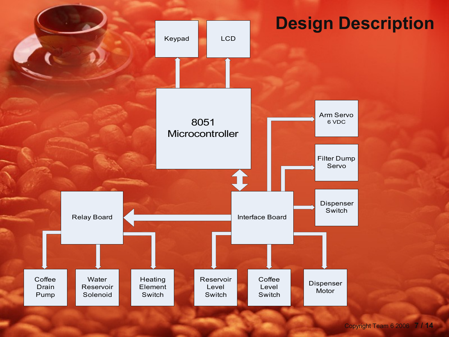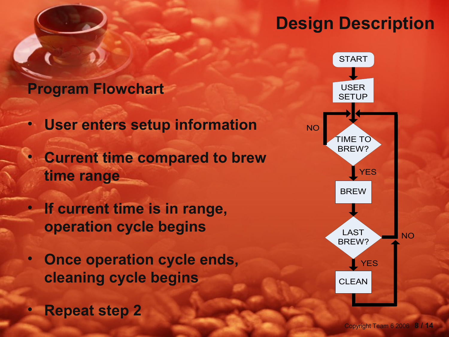### **Design Description**

#### **Program Flowchart**

- **User enters setup information**
- **Current time compared to brew time range**
- **If current time is in range, operation cycle begins**
- **Once operation cycle ends, cleaning cycle begins**
- **Repeat step 2**

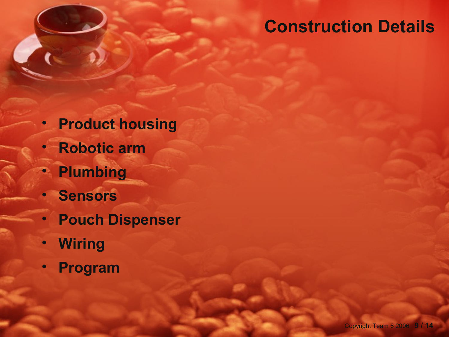### **Construction Details**

- **Product housing**
- **Robotic arm**
- **Plumbing**
	- **Sensors**
- **Pouch Dispenser**
- **Wiring**
- **Program**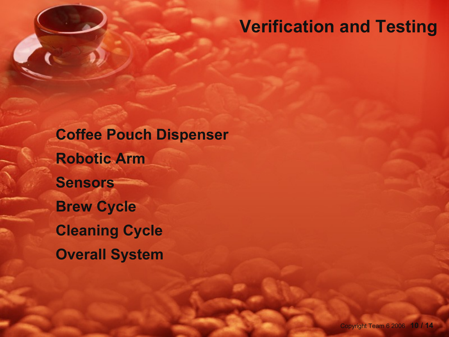#### **Verification and Testing**

**Coffee Pouch Dispenser Robotic Arm Sensors Brew Cycle Cleaning Cycle Overall System**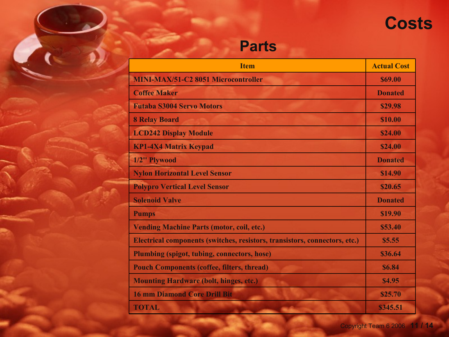## **Costs**

#### **Parts**

| <b>Item</b>                                                                | <b>Actual Cost</b> |
|----------------------------------------------------------------------------|--------------------|
| <b>MINI-MAX/51-C2 8051 Microcontroller</b>                                 | \$69.00            |
| <b>Coffee Maker</b>                                                        | <b>Donated</b>     |
| <b>Futaba S3004 Servo Motors</b>                                           | \$29.98            |
| <b>8 Relay Board</b>                                                       | <b>\$10.00</b>     |
| <b>LCD242 Display Module</b>                                               | \$24.00            |
| <b>KP1-4X4 Matrix Keypad</b>                                               | \$24.00            |
| 1/2" Plywood                                                               | <b>Donated</b>     |
| <b>Nylon Horizontal Level Sensor</b>                                       | \$14.90            |
| <b>Polypro Vertical Level Sensor</b>                                       | \$20.65            |
| <b>Solenoid Valve</b>                                                      | <b>Donated</b>     |
| <b>Pumps</b>                                                               | \$19.90            |
| <b>Vending Machine Parts (motor, coil, etc.)</b>                           | \$53.40            |
| Electrical components (switches, resistors, transistors, connectors, etc.) | \$5.55             |
| <b>Plumbing (spigot, tubing, connectors, hose)</b>                         | \$36.64            |
| <b>Pouch Components (coffee, filters, thread)</b>                          | <b>\$6.84</b>      |
| <b>Mounting Hardware (bolt, hinges, etc.)</b>                              | <b>\$4.95</b>      |
| <b>16 mm Diamond Core Drill Bit</b><br>$-$                                 | \$25.70            |
| <b>TOTAL</b>                                                               | \$345.51           |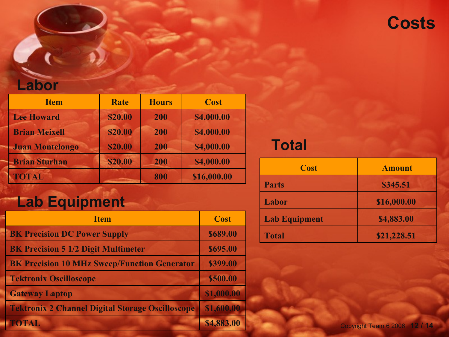

#### **Labor**

| <b>Item</b>            | <b>Rate</b>    | <b>Hours</b> | <b>Cost</b> |
|------------------------|----------------|--------------|-------------|
| <b>Lee Howard</b>      | <b>\$20.00</b> | 200          | \$4,000.00  |
| <b>Brian Meixell</b>   | \$20.00        | 200          | \$4,000.00  |
| <b>Juan Montelongo</b> | \$20.00        | 200          | \$4,000.00  |
| <b>Brian Sturhan</b>   | <b>\$20.00</b> | 200          | \$4,000.00  |
| <b>TOTAL</b>           |                | 800          | \$16,000.00 |

## **Lab Equipment**

| <b>Item</b>                                             | <b>Cost</b> |
|---------------------------------------------------------|-------------|
| <b>BK Precision DC Power Supply</b>                     | \$689.00    |
| <b>BK Precision 5 1/2 Digit Multimeter</b>              | \$695.00    |
| <b>BK Precision 10 MHz Sweep/Function Generator</b>     | \$399.00    |
| <b>Tektronix Oscilloscope</b>                           | \$500.00    |
| <b>Gateway Laptop</b>                                   | \$1,000.00  |
| <b>Tektronix 2 Channel Digital Storage Oscilloscope</b> | \$1,600.00  |
| <b>TOTAL</b>                                            | \$4,883.00  |

#### **Total**

| <b>Cost</b>          | <b>Amount</b> |  |
|----------------------|---------------|--|
| <b>Parts</b>         | \$345.51      |  |
| <b>Labor</b>         | \$16,000.00   |  |
| <b>Lab Equipment</b> | \$4,883.00    |  |
| <b>Total</b>         | \$21,228.51   |  |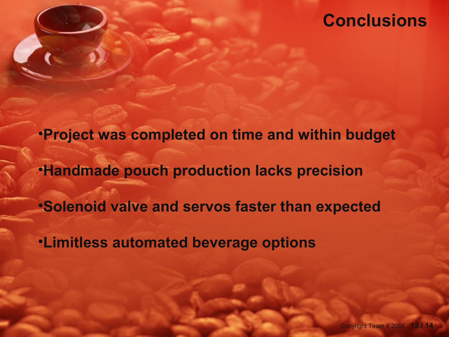#### **Conclusions**

•**Project was completed on time and within budget** •**Handmade pouch production lacks precision** •**Solenoid valve and servos faster than expected** •**Limitless automated beverage options**